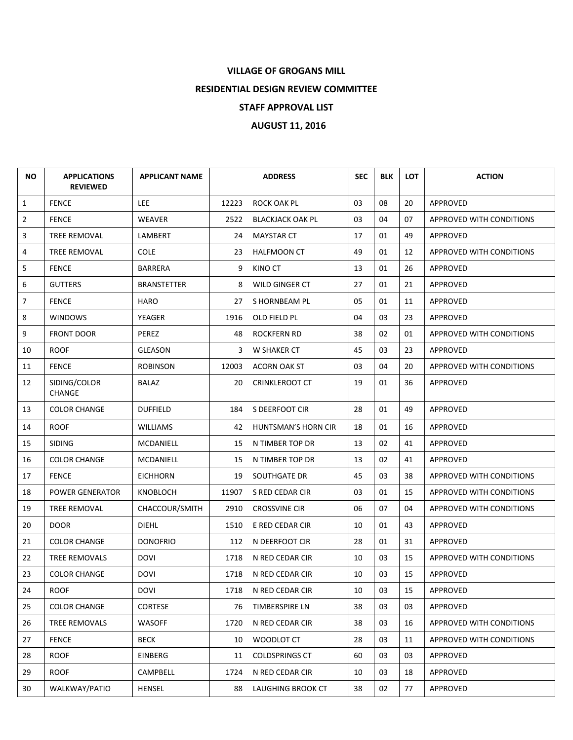## **VILLAGE OF GROGANS MILL**

**RESIDENTIAL DESIGN REVIEW COMMITTEE**

## **STAFF APPROVAL LIST**

## **AUGUST 11, 2016**

| NO.            | <b>APPLICATIONS</b><br><b>REVIEWED</b> | <b>APPLICANT NAME</b> |       | <b>ADDRESS</b>          | <b>SEC</b> | <b>BLK</b> | <b>LOT</b> | <b>ACTION</b>                   |
|----------------|----------------------------------------|-----------------------|-------|-------------------------|------------|------------|------------|---------------------------------|
| $\mathbf{1}$   | <b>FENCE</b>                           | <b>LEE</b>            | 12223 | ROCK OAK PL             | 03         | 08         | 20         | APPROVED                        |
| $\overline{2}$ | <b>FENCE</b>                           | WEAVER                | 2522  | <b>BLACKJACK OAK PL</b> | 03         | 04         | 07         | APPROVED WITH CONDITIONS        |
| 3              | <b>TREE REMOVAL</b>                    | LAMBERT               | 24    | <b>MAYSTAR CT</b>       | 17         | 01         | 49         | APPROVED                        |
| 4              | TREE REMOVAL                           | COLE                  | 23    | <b>HALFMOON CT</b>      | 49         | 01         | 12         | APPROVED WITH CONDITIONS        |
| 5              | <b>FENCE</b>                           | <b>BARRERA</b>        | 9     | KINO CT                 | 13         | 01         | 26         | APPROVED                        |
| 6              | <b>GUTTERS</b>                         | <b>BRANSTETTER</b>    | 8     | WILD GINGER CT          | 27         | 01         | 21         | APPROVED                        |
| $\overline{7}$ | <b>FENCE</b>                           | HARO                  | 27    | S HORNBEAM PL           | 05         | 01         | 11         | APPROVED                        |
| 8              | <b>WINDOWS</b>                         | YEAGER                | 1916  | OLD FIELD PL            | 04         | 03         | 23         | APPROVED                        |
| 9              | <b>FRONT DOOR</b>                      | PEREZ                 | 48    | <b>ROCKFERN RD</b>      | 38         | 02         | 01         | APPROVED WITH CONDITIONS        |
| 10             | <b>ROOF</b>                            | <b>GLEASON</b>        | 3     | W SHAKER CT             | 45         | 03         | 23         | <b>APPROVED</b>                 |
| 11             | <b>FENCE</b>                           | <b>ROBINSON</b>       | 12003 | <b>ACORN OAK ST</b>     | 03         | 04         | 20         | <b>APPROVED WITH CONDITIONS</b> |
| 12             | SIDING/COLOR<br><b>CHANGE</b>          | BALAZ                 | 20    | <b>CRINKLEROOT CT</b>   | 19         | 01         | 36         | APPROVED                        |
| 13             | <b>COLOR CHANGE</b>                    | <b>DUFFIELD</b>       | 184   | S DEERFOOT CIR          | 28         | 01         | 49         | APPROVED                        |
| 14             | <b>ROOF</b>                            | <b>WILLIAMS</b>       | 42    | HUNTSMAN'S HORN CIR     | 18         | 01         | 16         | APPROVED                        |
| 15             | <b>SIDING</b>                          | MCDANIELL             | 15    | N TIMBER TOP DR         | 13         | 02         | 41         | APPROVED                        |
| 16             | <b>COLOR CHANGE</b>                    | MCDANIELL             | 15    | N TIMBER TOP DR         | 13         | 02         | 41         | <b>APPROVED</b>                 |
| 17             | <b>FENCE</b>                           | <b>EICHHORN</b>       | 19    | SOUTHGATE DR            | 45         | 03         | 38         | APPROVED WITH CONDITIONS        |
| 18             | <b>POWER GENERATOR</b>                 | KNOBLOCH              | 11907 | S RED CEDAR CIR         | 03         | 01         | 15         | APPROVED WITH CONDITIONS        |
| 19             | TREE REMOVAL                           | CHACCOUR/SMITH        | 2910  | <b>CROSSVINE CIR</b>    | 06         | 07         | 04         | APPROVED WITH CONDITIONS        |
| 20             | <b>DOOR</b>                            | <b>DIEHL</b>          | 1510  | E RED CEDAR CIR         | 10         | 01         | 43         | APPROVED                        |
| 21             | <b>COLOR CHANGE</b>                    | DONOFRIO              | 112   | N DEERFOOT CIR          | 28         | 01         | 31         | APPROVED                        |
| 22             | TREE REMOVALS                          | <b>DOVI</b>           | 1718  | N RED CEDAR CIR         | 10         | 03         | 15         | APPROVED WITH CONDITIONS        |
| 23             | <b>COLOR CHANGE</b>                    | DOVI                  | 1718  | N RED CEDAR CIR         | 10         | 03         | 15         | APPROVED                        |
| 24             | <b>ROOF</b>                            | DOVI                  | 1718  | N RED CEDAR CIR         | 10         | 03         | 15         | APPROVED                        |
| 25             | <b>COLOR CHANGE</b>                    | <b>CORTESE</b>        | 76    | TIMBERSPIRE LN          | 38         | 03         | 03         | APPROVED                        |
| 26             | TREE REMOVALS                          | WASOFF                | 1720  | N RED CEDAR CIR         | 38         | 03         | 16         | <b>APPROVED WITH CONDITIONS</b> |
| 27             | <b>FENCE</b>                           | BECK                  | 10    | WOODLOT CT              | 28         | 03         | 11         | APPROVED WITH CONDITIONS        |
| 28             | <b>ROOF</b>                            | <b>EINBERG</b>        | 11    | <b>COLDSPRINGS CT</b>   | 60         | 03         | 03         | APPROVED                        |
| 29             | <b>ROOF</b>                            | CAMPBELL              | 1724  | N RED CEDAR CIR         | 10         | 03         | 18         | APPROVED                        |
| 30             | WALKWAY/PATIO                          | HENSEL                | 88    | LAUGHING BROOK CT       | 38         | 02         | 77         | APPROVED                        |